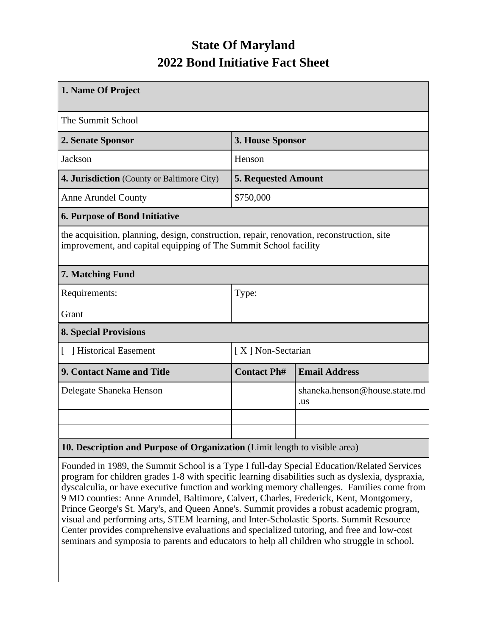## **State Of Maryland 2022 Bond Initiative Fact Sheet**

| 1. Name Of Project                                                                                                                                            |                            |                                      |  |  |  |
|---------------------------------------------------------------------------------------------------------------------------------------------------------------|----------------------------|--------------------------------------|--|--|--|
| The Summit School                                                                                                                                             |                            |                                      |  |  |  |
| 2. Senate Sponsor                                                                                                                                             | 3. House Sponsor           |                                      |  |  |  |
| Jackson                                                                                                                                                       | Henson                     |                                      |  |  |  |
| 4. Jurisdiction (County or Baltimore City)                                                                                                                    | <b>5. Requested Amount</b> |                                      |  |  |  |
| <b>Anne Arundel County</b>                                                                                                                                    | \$750,000                  |                                      |  |  |  |
| <b>6. Purpose of Bond Initiative</b>                                                                                                                          |                            |                                      |  |  |  |
| the acquisition, planning, design, construction, repair, renovation, reconstruction, site<br>improvement, and capital equipping of The Summit School facility |                            |                                      |  |  |  |
| 7. Matching Fund                                                                                                                                              |                            |                                      |  |  |  |
| Requirements:                                                                                                                                                 | Type:                      |                                      |  |  |  |
| Grant                                                                                                                                                         |                            |                                      |  |  |  |
| <b>8. Special Provisions</b>                                                                                                                                  |                            |                                      |  |  |  |
| [ ] Historical Easement                                                                                                                                       | [X] Non-Sectarian          |                                      |  |  |  |
| <b>9. Contact Name and Title</b>                                                                                                                              | <b>Contact Ph#</b>         | <b>Email Address</b>                 |  |  |  |
| Delegate Shaneka Henson                                                                                                                                       |                            | shaneka.henson@house.state.md<br>.us |  |  |  |
|                                                                                                                                                               |                            |                                      |  |  |  |
|                                                                                                                                                               |                            |                                      |  |  |  |
| 10. Description and Purpose of Organization (Limit length to visible area)                                                                                    |                            |                                      |  |  |  |

Founded in 1989, the Summit School is a Type I full-day Special Education/Related Services program for children grades 1-8 with specific learning disabilities such as dyslexia, dyspraxia, dyscalculia, or have executive function and working memory challenges. Families come from 9 MD counties: Anne Arundel, Baltimore, Calvert, Charles, Frederick, Kent, Montgomery, Prince George's St. Mary's, and Queen Anne's. Summit provides a robust academic program, visual and performing arts, STEM learning, and Inter-Scholastic Sports. Summit Resource Center provides comprehensive evaluations and specialized tutoring, and free and low-cost seminars and symposia to parents and educators to help all children who struggle in school.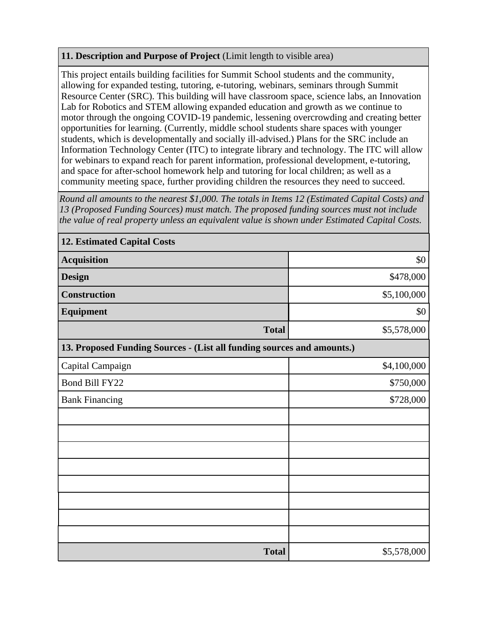## **11. Description and Purpose of Project** (Limit length to visible area)

This project entails building facilities for Summit School students and the community, allowing for expanded testing, tutoring, e-tutoring, webinars, seminars through Summit Resource Center (SRC). This building will have classroom space, science labs, an Innovation Lab for Robotics and STEM allowing expanded education and growth as we continue to motor through the ongoing COVID-19 pandemic, lessening overcrowding and creating better opportunities for learning. (Currently, middle school students share spaces with younger students, which is developmentally and socially ill-advised.) Plans for the SRC include an Information Technology Center (ITC) to integrate library and technology. The ITC will allow for webinars to expand reach for parent information, professional development, e-tutoring, and space for after-school homework help and tutoring for local children; as well as a community meeting space, further providing children the resources they need to succeed.

*Round all amounts to the nearest \$1,000. The totals in Items 12 (Estimated Capital Costs) and 13 (Proposed Funding Sources) must match. The proposed funding sources must not include the value of real property unless an equivalent value is shown under Estimated Capital Costs.*

| <b>12. Estimated Capital Costs</b>                                     |             |  |  |  |  |
|------------------------------------------------------------------------|-------------|--|--|--|--|
| <b>Acquisition</b>                                                     | \$0         |  |  |  |  |
| <b>Design</b>                                                          | \$478,000   |  |  |  |  |
| <b>Construction</b>                                                    | \$5,100,000 |  |  |  |  |
| <b>Equipment</b>                                                       | \$0         |  |  |  |  |
| <b>Total</b>                                                           | \$5,578,000 |  |  |  |  |
| 13. Proposed Funding Sources - (List all funding sources and amounts.) |             |  |  |  |  |
| Capital Campaign                                                       | \$4,100,000 |  |  |  |  |
| Bond Bill FY22                                                         | \$750,000   |  |  |  |  |
| <b>Bank Financing</b>                                                  | \$728,000   |  |  |  |  |
|                                                                        |             |  |  |  |  |
|                                                                        |             |  |  |  |  |
|                                                                        |             |  |  |  |  |
|                                                                        |             |  |  |  |  |
|                                                                        |             |  |  |  |  |
|                                                                        |             |  |  |  |  |
|                                                                        |             |  |  |  |  |
|                                                                        |             |  |  |  |  |
| <b>Total</b>                                                           | \$5,578,000 |  |  |  |  |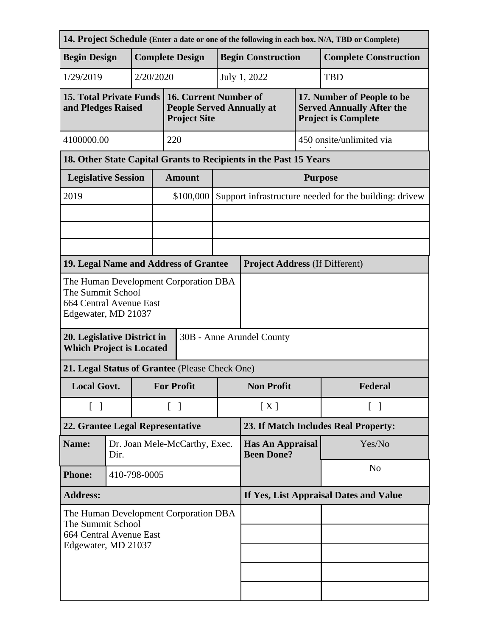| 14. Project Schedule (Enter a date or one of the following in each box. N/A, TBD or Complete)                       |      |                               |                                        |                                                                                  |                          |                                                                   |                |                                                                                              |  |
|---------------------------------------------------------------------------------------------------------------------|------|-------------------------------|----------------------------------------|----------------------------------------------------------------------------------|--------------------------|-------------------------------------------------------------------|----------------|----------------------------------------------------------------------------------------------|--|
| <b>Begin Design</b>                                                                                                 |      | <b>Complete Design</b>        |                                        |                                                                                  |                          | <b>Begin Construction</b>                                         |                | <b>Complete Construction</b>                                                                 |  |
| 1/29/2019                                                                                                           |      | 2/20/2020                     |                                        |                                                                                  |                          | July 1, 2022<br><b>TBD</b>                                        |                |                                                                                              |  |
| <b>15. Total Private Funds</b><br>and Pledges Raised                                                                |      |                               |                                        | 16. Current Number of<br><b>People Served Annually at</b><br><b>Project Site</b> |                          |                                                                   |                | 17. Number of People to be<br><b>Served Annually After the</b><br><b>Project is Complete</b> |  |
| 4100000.00                                                                                                          |      |                               |                                        | 220                                                                              |                          | 450 onsite/unlimited via                                          |                |                                                                                              |  |
|                                                                                                                     |      |                               |                                        |                                                                                  |                          | 18. Other State Capital Grants to Recipients in the Past 15 Years |                |                                                                                              |  |
| <b>Legislative Session</b>                                                                                          |      |                               |                                        | <b>Amount</b>                                                                    |                          | <b>Purpose</b>                                                    |                |                                                                                              |  |
| 2019                                                                                                                |      |                               |                                        | \$100,000                                                                        |                          | Support infrastructure needed for the building: drivew            |                |                                                                                              |  |
|                                                                                                                     |      |                               |                                        |                                                                                  |                          |                                                                   |                |                                                                                              |  |
|                                                                                                                     |      |                               |                                        |                                                                                  |                          |                                                                   |                |                                                                                              |  |
|                                                                                                                     |      |                               |                                        |                                                                                  |                          |                                                                   |                |                                                                                              |  |
| 19. Legal Name and Address of Grantee                                                                               |      |                               |                                        |                                                                                  |                          | <b>Project Address (If Different)</b>                             |                |                                                                                              |  |
| The Human Development Corporation DBA<br>The Summit School<br>664 Central Avenue East<br>Edgewater, MD 21037        |      |                               |                                        |                                                                                  |                          |                                                                   |                |                                                                                              |  |
| 20. Legislative District in<br>30B - Anne Arundel County<br><b>Which Project is Located</b>                         |      |                               |                                        |                                                                                  |                          |                                                                   |                |                                                                                              |  |
| 21. Legal Status of Grantee (Please Check One)                                                                      |      |                               |                                        |                                                                                  |                          |                                                                   |                |                                                                                              |  |
| <b>Local Govt.</b>                                                                                                  |      |                               |                                        | <b>For Profit</b>                                                                |                          | <b>Non Profit</b>                                                 |                | Federal                                                                                      |  |
| $\begin{bmatrix} \end{bmatrix}$                                                                                     |      |                               | $\begin{bmatrix} 1 \end{bmatrix}$      |                                                                                  | [X]<br>$\lceil$ $\rceil$ |                                                                   |                |                                                                                              |  |
| 22. Grantee Legal Representative                                                                                    |      |                               | 23. If Match Includes Real Property:   |                                                                                  |                          |                                                                   |                |                                                                                              |  |
| Name:                                                                                                               | Dir. | Dr. Joan Mele-McCarthy, Exec. |                                        |                                                                                  |                          | Yes/No<br><b>Has An Appraisal</b><br><b>Been Done?</b>            |                |                                                                                              |  |
| <b>Phone:</b>                                                                                                       |      | 410-798-0005                  |                                        |                                                                                  |                          |                                                                   | N <sub>o</sub> |                                                                                              |  |
| <b>Address:</b>                                                                                                     |      |                               | If Yes, List Appraisal Dates and Value |                                                                                  |                          |                                                                   |                |                                                                                              |  |
| The Human Development Corporation DBA<br>The Summit School<br><b>664 Central Avenue East</b><br>Edgewater, MD 21037 |      |                               |                                        |                                                                                  |                          |                                                                   |                |                                                                                              |  |
|                                                                                                                     |      |                               |                                        |                                                                                  |                          |                                                                   |                |                                                                                              |  |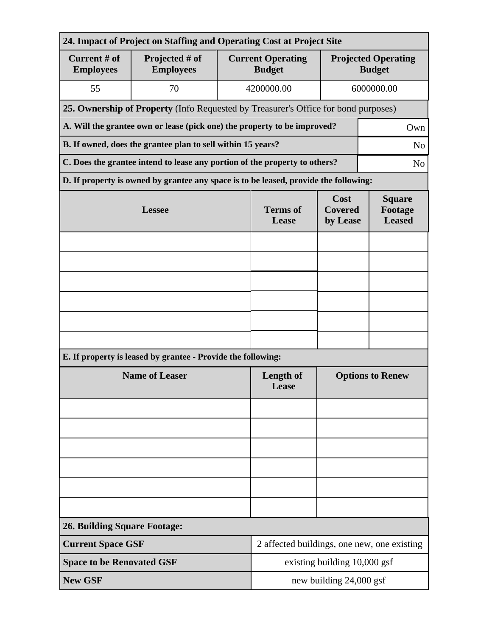| 24. Impact of Project on Staffing and Operating Cost at Project Site          |                                                                                      |                          |                                           |                                           |                                             |  |  |
|-------------------------------------------------------------------------------|--------------------------------------------------------------------------------------|--------------------------|-------------------------------------------|-------------------------------------------|---------------------------------------------|--|--|
| Current # of<br><b>Employees</b>                                              | Projected # of<br><b>Employees</b>                                                   |                          | <b>Current Operating</b><br><b>Budget</b> |                                           | <b>Projected Operating</b><br><b>Budget</b> |  |  |
| 55                                                                            | 70                                                                                   |                          | 4200000.00                                |                                           | 6000000.00                                  |  |  |
|                                                                               | 25. Ownership of Property (Info Requested by Treasurer's Office for bond purposes)   |                          |                                           |                                           |                                             |  |  |
|                                                                               | A. Will the grantee own or lease (pick one) the property to be improved?<br>Own      |                          |                                           |                                           |                                             |  |  |
| B. If owned, does the grantee plan to sell within 15 years?<br>N <sub>o</sub> |                                                                                      |                          |                                           |                                           |                                             |  |  |
|                                                                               | C. Does the grantee intend to lease any portion of the property to others?           |                          |                                           |                                           | N <sub>o</sub>                              |  |  |
|                                                                               | D. If property is owned by grantee any space is to be leased, provide the following: |                          |                                           |                                           |                                             |  |  |
|                                                                               | <b>Lessee</b>                                                                        | <b>Terms</b> of<br>Lease | Cost<br><b>Covered</b><br>by Lease        | <b>Square</b><br>Footage<br><b>Leased</b> |                                             |  |  |
|                                                                               |                                                                                      |                          |                                           |                                           |                                             |  |  |
|                                                                               |                                                                                      |                          |                                           |                                           |                                             |  |  |
|                                                                               |                                                                                      |                          |                                           |                                           |                                             |  |  |
|                                                                               |                                                                                      |                          |                                           |                                           |                                             |  |  |
|                                                                               |                                                                                      |                          |                                           |                                           |                                             |  |  |
|                                                                               |                                                                                      |                          |                                           |                                           |                                             |  |  |
|                                                                               | E. If property is leased by grantee - Provide the following:                         |                          |                                           |                                           |                                             |  |  |
| <b>Name of Leaser</b>                                                         |                                                                                      |                          | <b>Length of</b><br>Lease                 | <b>Options to Renew</b>                   |                                             |  |  |
|                                                                               |                                                                                      |                          |                                           |                                           |                                             |  |  |
|                                                                               |                                                                                      |                          |                                           |                                           |                                             |  |  |
|                                                                               |                                                                                      |                          |                                           |                                           |                                             |  |  |
|                                                                               |                                                                                      |                          |                                           |                                           |                                             |  |  |
|                                                                               |                                                                                      |                          |                                           |                                           |                                             |  |  |
|                                                                               |                                                                                      |                          |                                           |                                           |                                             |  |  |
| <b>26. Building Square Footage:</b>                                           |                                                                                      |                          |                                           |                                           |                                             |  |  |
|                                                                               | <b>Current Space GSF</b><br>2 affected buildings, one new, one existing              |                          |                                           |                                           |                                             |  |  |
| <b>Space to be Renovated GSF</b>                                              |                                                                                      |                          | existing building 10,000 gsf              |                                           |                                             |  |  |
| <b>New GSF</b>                                                                |                                                                                      |                          | new building 24,000 gsf                   |                                           |                                             |  |  |